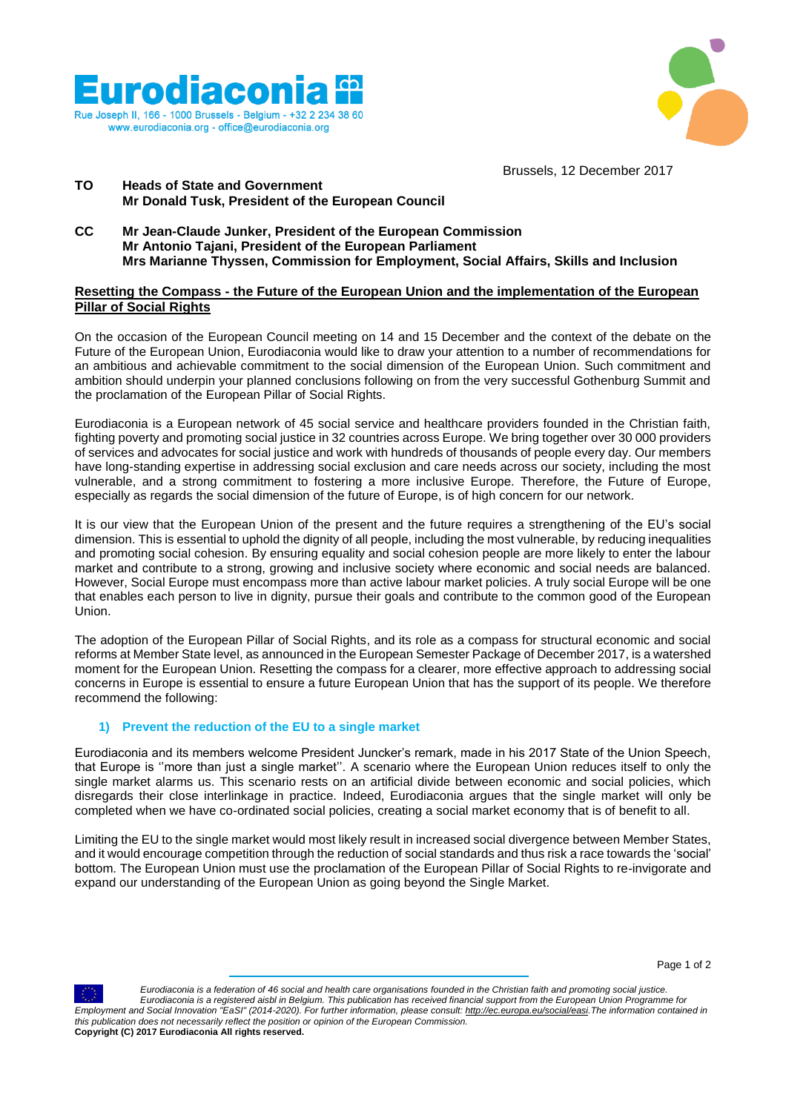



Brussels, 12 December 2017

## **TO Heads of State and Government Mr Donald Tusk, President of the European Council**

**CC Mr Jean-Claude Junker, President of the European Commission Mr Antonio Tajani, President of the European Parliament Mrs Marianne Thyssen, Commission for Employment, Social Affairs, Skills and Inclusion**

#### **Resetting the Compass - the Future of the European Union and the implementation of the European Pillar of Social Rights**

On the occasion of the European Council meeting on 14 and 15 December and the context of the debate on the Future of the European Union, Eurodiaconia would like to draw your attention to a number of recommendations for an ambitious and achievable commitment to the social dimension of the European Union. Such commitment and ambition should underpin your planned conclusions following on from the very successful Gothenburg Summit and the proclamation of the European Pillar of Social Rights.

Eurodiaconia is a European network of 45 social service and healthcare providers founded in the Christian faith, fighting poverty and promoting social justice in 32 countries across Europe. We bring together over 30 000 providers of services and advocates for social justice and work with hundreds of thousands of people every day. Our members have long-standing expertise in addressing social exclusion and care needs across our society, including the most vulnerable, and a strong commitment to fostering a more inclusive Europe. Therefore, the Future of Europe, especially as regards the social dimension of the future of Europe, is of high concern for our network.

It is our view that the European Union of the present and the future requires a strengthening of the EU's social dimension. This is essential to uphold the dignity of all people, including the most vulnerable, by reducing inequalities and promoting social cohesion. By ensuring equality and social cohesion people are more likely to enter the labour market and contribute to a strong, growing and inclusive society where economic and social needs are balanced. However, Social Europe must encompass more than active labour market policies. A truly social Europe will be one that enables each person to live in dignity, pursue their goals and contribute to the common good of the European Union.

The adoption of the European Pillar of Social Rights, and its role as a compass for structural economic and social reforms at Member State level, as announced in the European Semester Package of December 2017, is a watershed moment for the European Union. Resetting the compass for a clearer, more effective approach to addressing social concerns in Europe is essential to ensure a future European Union that has the support of its people. We therefore recommend the following:

# **1) Prevent the reduction of the EU to a single market**

Eurodiaconia and its members welcome President Juncker's remark, made in his 2017 State of the Union Speech, that Europe is ''more than just a single market''. A scenario where the European Union reduces itself to only the single market alarms us. This scenario rests on an artificial divide between economic and social policies, which disregards their close interlinkage in practice. Indeed, Eurodiaconia argues that the single market will only be completed when we have co-ordinated social policies, creating a social market economy that is of benefit to all.

Limiting the EU to the single market would most likely result in increased social divergence between Member States, and it would encourage competition through the reduction of social standards and thus risk a race towards the 'social' bottom. The European Union must use the proclamation of the European Pillar of Social Rights to re-invigorate and expand our understanding of the European Union as going beyond the Single Market.



 *Eurodiaconia is a federation of 46 social and health care organisations founded in the Christian faith and promoting social justice. Eurodiaconia is a registered aisbl in Belgium. This publication has received financial support from the European Union Programme for Employment and Social Innovation "EaSI" (2014-2020). For further information, please consult: [http://ec.europa.eu/social/easi.T](http://t.signauxhuit.com/e1t/c/5/f18dQhb0S7lC8dDMPbW2n0x6l2B9nMJN7t5XZsRbPVHN2zhwWYfmQbKW8qC6LR56dJqxf4Lff3F02?t=http%3a%2f%2fec.europa.eu%2fsocial%2feasi&si=5863428270325760&pi=ca44b045-4662-4c92-a895-07c8309ea308)he information contained in this publication does not necessarily reflect the position or opinion of the European Commission.* **Copyright (C) 2017 Eurodiaconia All rights reserved.**